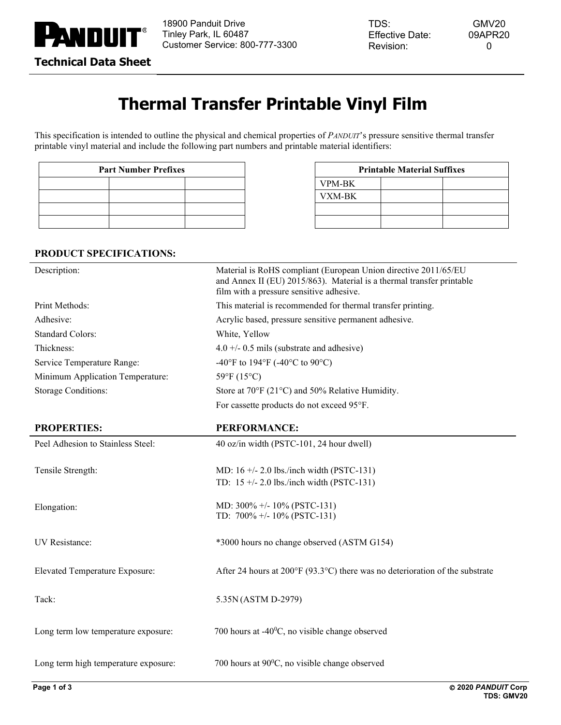

# **Thermal Transfer Printable Vinyl Film**

This specification is intended to outline the physical and chemical properties of *PANDUIT*'s pressure sensitive thermal transfer printable vinyl material and include the following part numbers and printable material identifiers:

| <b>Part Number Prefixes</b> |  |  |  |  |
|-----------------------------|--|--|--|--|
|                             |  |  |  |  |
|                             |  |  |  |  |
|                             |  |  |  |  |
|                             |  |  |  |  |

| <b>Part Number Prefixes</b> |  | <b>Printable Material Suffixes</b> |               |  |  |
|-----------------------------|--|------------------------------------|---------------|--|--|
|                             |  |                                    | <b>VPM-BK</b> |  |  |
|                             |  |                                    | VXM-BK        |  |  |
|                             |  |                                    |               |  |  |
|                             |  |                                    |               |  |  |

## **PRODUCT SPECIFICATIONS:**

| Description:                          | Material is RoHS compliant (European Union directive 2011/65/EU<br>and Annex II (EU) 2015/863). Material is a thermal transfer printable<br>film with a pressure sensitive adhesive. |  |
|---------------------------------------|--------------------------------------------------------------------------------------------------------------------------------------------------------------------------------------|--|
| Print Methods:                        | This material is recommended for thermal transfer printing.                                                                                                                          |  |
| Adhesive:                             | Acrylic based, pressure sensitive permanent adhesive.                                                                                                                                |  |
| <b>Standard Colors:</b>               | White, Yellow                                                                                                                                                                        |  |
| Thickness:                            | $4.0 +/- 0.5$ mils (substrate and adhesive)                                                                                                                                          |  |
| Service Temperature Range:            | -40°F to 194°F (-40°C to 90°C)                                                                                                                                                       |  |
| Minimum Application Temperature:      | 59°F (15°C)                                                                                                                                                                          |  |
| <b>Storage Conditions:</b>            | Store at 70°F (21°C) and 50% Relative Humidity.                                                                                                                                      |  |
|                                       | For cassette products do not exceed 95°F.                                                                                                                                            |  |
| <b>PROPERTIES:</b>                    | <b>PERFORMANCE:</b>                                                                                                                                                                  |  |
| Peel Adhesion to Stainless Steel:     | 40 oz/in width (PSTC-101, 24 hour dwell)                                                                                                                                             |  |
| Tensile Strength:                     | MD: $16 +/- 2.0$ lbs./inch width (PSTC-131)<br>TD: $15 +/- 2.0$ lbs./inch width (PSTC-131)                                                                                           |  |
| Elongation:                           | MD: 300% +/- 10% (PSTC-131)<br>TD: $700\% +10\%$ (PSTC-131)                                                                                                                          |  |
| UV Resistance:                        | *3000 hours no change observed (ASTM G154)                                                                                                                                           |  |
| <b>Elevated Temperature Exposure:</b> | After 24 hours at 200 $\degree$ F (93.3 $\degree$ C) there was no deterioration of the substrate                                                                                     |  |
| Tack:                                 | 5.35N (ASTM D-2979)                                                                                                                                                                  |  |
| Long term low temperature exposure:   | 700 hours at -40 $^{\circ}$ C, no visible change observed                                                                                                                            |  |
| Long term high temperature exposure:  | 700 hours at $90^{\circ}$ C, no visible change observed                                                                                                                              |  |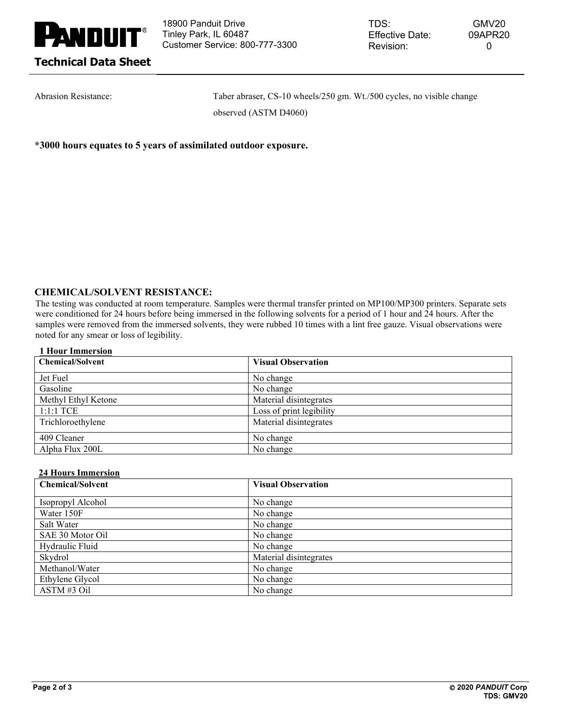

18900 Panduit Drive Tinley Park, IL 60487 Customer Service: 800-777-3300

Abrasion Resistance: Taber abraser, CS-10 wheels/250 gm. Wt./500 cycles, no visible change observed (ASTM D4060)

**\*3000 hours equates to 5 years of assimilated outdoor exposure.**

## **CHEMICAL/SOLVENT RESISTANCE:**

The testing was conducted at room temperature. Samples were thermal transfer printed on MP100/MP300 printers. Separate sets were conditioned for 24 hours before being immersed in the following solvents for a period of 1 hour and 24 hours. After the samples were removed from the immersed solvents, they were rubbed 10 times with a lint free gauze. Visual observations were noted for any smear or loss of legibility.

### **1 Hour Immersion**

| <b>Chemical/Solvent</b> | <b>Visual Observation</b> |
|-------------------------|---------------------------|
| Jet Fuel                | No change                 |
| Gasoline                | No change                 |
| Methyl Ethyl Ketone     | Material disintegrates    |
| $1:1:1$ TCE             | Loss of print legibility  |
| Trichloroethylene       | Material disintegrates    |
| 409 Cleaner             | No change                 |
| Alpha Flux 200L         | No change                 |

### **24 Hours Immersion**

| <b>Chemical/Solvent</b> | <b>Visual Observation</b> |
|-------------------------|---------------------------|
| Isopropyl Alcohol       | No change                 |
| Water 150F              | No change                 |
| Salt Water              | No change                 |
| SAE 30 Motor Oil        | No change                 |
| Hydraulic Fluid         | No change                 |
| Skydrol                 | Material disintegrates    |
| Methanol/Water          | No change                 |
| Ethylene Glycol         | No change                 |
| ASTM#3 Oil              | No change                 |